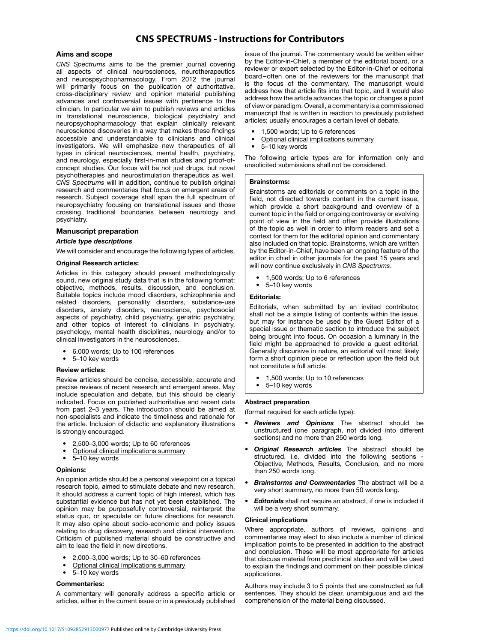#### **CNS SPECTRUMS - Instructions for Contributors**

#### **Aims and scope**

*CNS Spectrums* aims to be the premier journal covering all aspects of clinical neurosciences, neurotherapeutics and neurospsychopharmacology. From 2012 the journal will primarily focus on the publication of authoritative, cross-disciplinary review and opinion material publishing advances and controversial issues with pertinence to the clinician. In particular we aim to publish reviews and articles in translational neuroscience, biological psychiatry and neuropsychopharmacology that explain clinically relevant neuroscience discoveries in a way that makes these findings accessible and understandable to clinicians and clinical investigators. We will emphasize new therapeutics of all types in clinical neurosciences, mental health, psychiatry, and neurology, especially first-in-man studies and proof-ofconcept studies. Our focus will be not just drugs, but novel psychotherapies and neurostimulation therapeutics as well. *CNS Spectrums* will in addition, continue to publish original research and commentaries that focus on emergent areas of research. Subject coverage shall span the full spectrum of neuropsychiatry focusing on translational issues and those crossing traditional boundaries between neurology and psychiatry.

#### **Manuscript preparation**

#### *Article type descriptions*

We will consider and encourage the following types of articles.

#### **Original Research articles:**

Articles in this category should present methodologically sound, new original study data that is in the following format: objective, methods, results, discussion, and conclusion. Suitable topics include mood disorders, schizophrenia and related disorders, personality disorders, substance-use disorders, anxiety disorders, neuroscience, psychosocial aspects of psychiatry, child psychiatry, geriatric psychiatry, and other topics of interest to clinicians in psychiatry, psychology, mental health disciplines, neurology and/or to clinical investigators in the neurosciences.

- 6,000 words; Up to 100 references
- 5–10 key words

#### **Review articles:**

Review articles should be concise, accessible, accurate and precise reviews of recent research and emergent areas. May include speculation and debate, but this should be clearly indicated. Focus on published authoritative and recent data from past 2–3 years. The introduction should be aimed at non-specialists and indicate the timeliness and rationale for the article. Inclusion of didactic and explanatory illustrations is strongly encouraged.

- 2,500–3,000 words; Up to 60 references
- Optional clinical implications summary
- 5-10 key words

#### **Opinions:**

An opinion article should be a personal viewpoint on a topical research topic, aimed to stimulate debate and new research. It should address a current topic of high interest, which has substantial evidence but has not yet been established. The opinion may be purposefully controversial, reinterpret the status quo, or speculate on future directions for research. It may also opine about socio-economic and policy issues relating to drug discovery, research and clinical intervention. Criticism of published material should be constructive and aim to lead the field in new directions.

- 2,000–3,000 words; Up to 30–60 references
- Optional clinical implications summary
- 5-10 key words

#### **Commentaries:**

A commentary will generally address a specific article or articles, either in the current issue or in a previously published

issue of the journal. The commentary would be written either by the Editor-in-Chief, a member of the editorial board, or a reviewer or expert selected by the Editor-in-Chief or editorial board – often one of the reviewers for the manuscript that is the focus of the commentary. The manuscript would address how that article fits into that topic, and it would also address how the article advances the topic or changes a point of view or paradigm. Overall, a commentary is a commissioned manuscript that is written in reaction to previously published articles; usually encourages a certain level of debate.

- 1,500 words; Up to 6 references
- Optional clinical implications summary
- 5-10 key words
- 

The following article types are for information only and unsolicited submissions shall not be considered.

#### **Brainstorms:**

Brainstorms are editorials or comments on a topic in the field, not directed towards content in the current issue. which provide a short background and overview of a current topic in the field or ongoing controversy or evolving point of view in the field and often provide illustrations of the topic as well in order to inform readers and set a context for them for the editorial opinion and commentary also included on that topic. Brainstorms, which are written by the Editor-in-Chief, have been an ongoing feature of the editor in chief in other journals for the past 15 years and will now continue exclusively in *CNS Spectrums*.

- 1,500 words; Up to 6 references
- 5-10 key words

#### **Editorials:**

Editorials, when submitted by an invited contributor, shall not be a simple listing of contents within the issue, but may for instance be used by the Guest Editor of a special issue or thematic section to introduce the subject being brought into focus. On occasion a luminary in the field might be approached to provide a guest editorial. Generally discursive in nature, an editorial will most likely form a short opinion piece or reflection upon the field but not constitute a full article.

- 1,500 words; Up to 10 references
- 5-10 key words

#### **Abstract preparation**

(format required for each article type):

- *Reviews and Opinions* The abstract should be unstructured (one paragraph, not divided into different sections) and no more than 250 words long.
- *Original Research articles* The abstract should be structured, i.e. divided into the following sections -Objective, Methods, Results, Conclusion, and no more than 250 words long.
- *Brainstorms and Commentaries* The abstract will be a very short summary, no more than 50 words long.
- *Editorials* shall not require an abstract, if one is included it will be a very short summary.

#### **Clinical implications**

Where appropriate, authors of reviews, opinions and commentaries may elect to also include a number of clinical implication points to be presented in addition to the abstract and conclusion. These will be most appropriate for articles that discuss material from preclinical studies and will be used to explain the findings and comment on their possible clinical applications.

Authors may include 3 to 5 points that are constructed as full sentences. They should be clear, unambiguous and aid the comprehension of the material being discussed.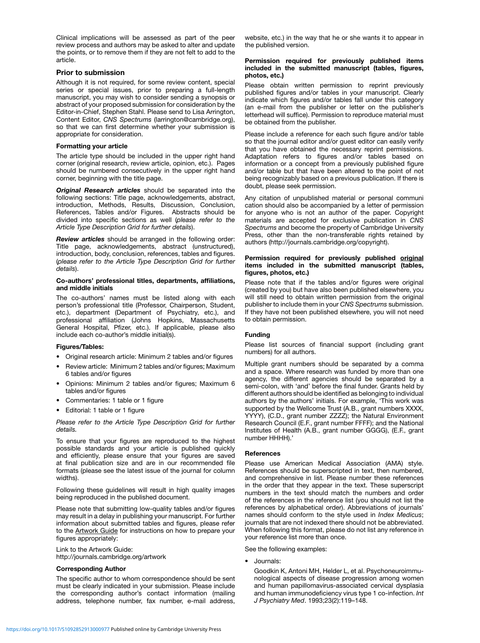Clinical implications will be assessed as part of the peer review process and authors may be asked to alter and update the points, or to remove them if they are not felt to add to the article.

#### **Prior to submission**

Although it is not required, for some review content, special series or special issues, prior to preparing a full-length manuscript, you may wish to consider sending a synopsis or abstract of your proposed submission for consideration by the Editor-in-Chief, Stephen Stahl. Please send to Lisa Arrington, Content Editor, *CNS Spectrums* (larrington@cambridge.org), so that we can first determine whether your submission is appropriate for consideration.

#### **Formatting your article**

The article type should be included in the upper right hand corner (original research, review article, opinion, etc.). Pages should be numbered consecutively in the upper right hand corner, beginning with the title page.

*Original Research articles* should be separated into the following sections: Title page, acknowledgements, abstract, introduction, Methods, Results, Discussion, Conclusion, References, Tables and/or Figures. Abstracts should be divided into specific sections as well (please refer to the *Article Type Description Grid for further details*).

*Review articles* should be arranged in the following order: Title page, acknowledgements, abstract (unstructured), introduction, body, conclusion, references, tables and figures. (*please refer to the Article Type Description Grid for further details*).

#### Co-authors' professional titles, departments, affiliations, **and middle initials**

The co-authors' names must be listed along with each person's professional title (Professor, Chairperson, Student, etc.), department (Department of Psychiatry, etc.), and professional affiliation (Johns Hopkins, Massachusetts General Hospital, Pfizer, etc.). If applicable, please also include each co-author's middle initial(s).

#### **Figures/Tables:**

- Original research article: Minimum 2 tables and/or figures
- Review article: Minimum 2 tables and/or figures; Maximum 6 tables and/or figures
- Opinions: Minimum 2 tables and/or figures: Maximum 6 tables and/or figures
- Commentaries: 1 table or 1 figure
- Editorial: 1 table or 1 figure

*Please refer to the Article Type Description Grid for further details.*

To ensure that your figures are reproduced to the highest possible standards and your article is published quickly and efficiently, please ensure that your figures are saved at final publication size and are in our recommended file formats (please see the latest issue of the journal for column widths).

Following these guidelines will result in high quality images being reproduced in the published document.

Please note that submitting low-quality tables and/or figures may result in a delay in publishing your manuscript. For further information about submitted tables and figures, please refer to the Artwork Guide for instructions on how to prepare your figures appropriately:

Link to the Artwork Guide: http://journals.cambridge.org/artwork

#### **Corresponding Author**

The specific author to whom correspondence should be sent must be clearly indicated in your submission. Please include the corresponding author's contact information (mailing address, telephone number, fax number, e-mail address,

website, etc.) in the way that he or she wants it to appear in the published version.

#### **Permission required for previously published items**  included in the submitted manuscript (tables, figures, **photos, etc.)**

Please obtain written permission to reprint previously published figures and/or tables in your manuscript. Clearly indicate which figures and/or tables fall under this category (an e-mail from the publisher or letter on the publisher's letterhead will suffice). Permission to reproduce material must be obtained from the publisher.

Please include a reference for each such figure and/or table so that the journal editor and/or guest editor can easily verify that you have obtained the necessary reprint permissions. Adaptation refers to figures and/or tables based on information or a concept from a previously published figure and/or table but that have been altered to the point of not being recognizably based on a previous publication. If there is doubt, please seek permission.

Any citation of unpublished material or personal communi cation should also be accompanied by a letter of permission for anyone who is not an author of the paper. Copyright materials are accepted for exclusive publication in *CNS Spectrums* and become the property of Cambridge University Press, other than the non-transferable rights retained by authors (http://journals.cambridge.org/copyright).

#### **Permission required for previously published original items included in the submitted manuscript (tables, fi gures, photos, etc.)**

Please note that if the tables and/or figures were original (created by you) but have also been published elsewhere, you will still need to obtain written permission from the original publisher to include them in your *CNS Spectrums* submission. If they have not been published elsewhere, you will not need to obtain permission.

#### **Funding**

Please list sources of financial support (including grant numbers) for all authors.

Multiple grant numbers should be separated by a comma and a space. Where research was funded by more than one agency, the different agencies should be separated by a semi-colon, with 'and' before the final funder. Grants held by different authors should be identified as belonging to individual authors by the authors' initials. For example, 'This work was supported by the Wellcome Trust (A.B., grant numbers XXXX, YYYY), (C.D., grant number ZZZZ); the Natural Environment Research Council (E.F., grant number FFFF); and the National Institutes of Health (A.B., grant number GGGG), (E.F., grant number HHHH).'

#### **References**

Please use American Medical Association (AMA) style. References should be superscripted in text, then numbered, and comprehensive in list. Please number these references in the order that they appear in the text. These superscript numbers in the text should match the numbers and order of the references in the reference list (you should not list the references by alphabetical order). Abbreviations of journals' names should conform to the style used in *Index Medicus*; journals that are not indexed there should not be abbreviated. When following this format, please do not list any reference in your reference list more than once.

See the following examples:

• Journals:

 Goodkin K, Antoni MH, Helder L, et al. Psychoneuroimmunological aspects of disease progression among women and human papillomavirus-associated cervical dysplasia and human immunodeficiency virus type 1 co-infection. *Int J Psychiatry Med*. 1993;23(2):119–148.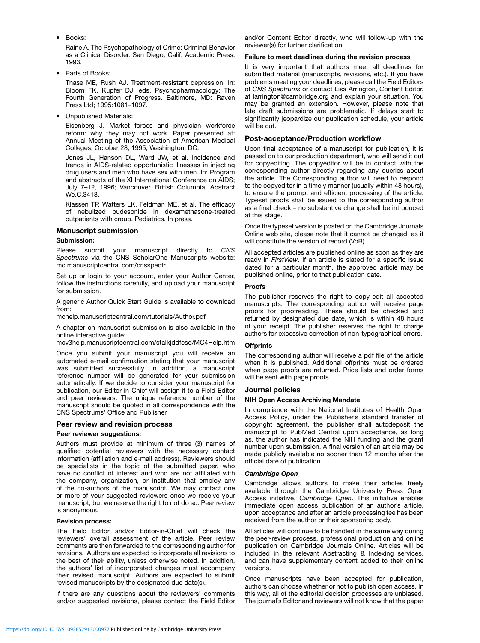• Books:

 Raine A. The Psychopathology of Crime: Criminal Behavior as a Clinical Disorder. San Diego, Calif: Academic Press; 1993.

• Parts of Books:

 Thase ME, Rush AJ. Treatment-resistant depression. In: Bloom FK, Kupfer DJ, eds. Psychopharmacology: The Fourth Generation of Progress. Baltimore, MD: Raven Press Ltd; 1995:1081–1097.

• Unpublished Materials:

 Eisenberg J. Market forces and physician workforce reform: why they may not work. Paper presented at: Annual Meeting of the Association of American Medical Colleges; October 28, 1995; Washington, DC.

 Jones JL, Hanson DL, Ward JW, et al. Incidence and trends in AIDS-related opportunistic illnesses in injecting drug users and men who have sex with men. In: Program and abstracts of the XI International Conference on AIDS; July 7–12, 1996; Vancouver, British Columbia. Abstract We.C.3418.

Klassen TP, Watters LK, Feldman ME, et al. The efficacy of nebulized budesonide in dexamethasone-treated outpatients with croup. Pediatrics. In press.

#### **Manuscript submission**

#### **Submission:**

Please submit your manuscript directly to *CNS Spectrums* via the CNS ScholarOne Manuscripts website: mc.manuscriptcentral.com/cnsspectr.

Set up or login to your account, enter your Author Center, follow the instructions carefully, and upload your manuscript for submission.

A generic Author Quick Start Guide is available to download from:

mchelp.manuscriptcentral.com/tutorials/Author.pdf

A chapter on manuscript submission is also available in the online interactive guide:

mcv3help.manuscriptcentral.com/stalkjddfesd/MC4Help.htm

Once you submit your manuscript you will receive an automated e-mail confirmation stating that your manuscript was submitted successfully. In addition, a manuscript reference number will be generated for your submission automatically. If we decide to consider your manuscript for publication, our Editor-in-Chief will assign it to a Field Editor and peer reviewers. The unique reference number of the manuscript should be quoted in all correspondence with the CNS Spectrums' Office and Publisher.

#### **Peer review and revision process**

#### **Peer reviewer suggestions:**

Authors must provide at minimum of three (3) names of qualified potential reviewers with the necessary contact information (affiliation and e-mail address). Reviewers should be specialists in the topic of the submitted paper, who have no conflict of interest and who are not affiliated with the company, organization, or institution that employ any of the co-authors of the manuscript. We may contact one or more of your suggested reviewers once we receive your manuscript, but we reserve the right to not do so. Peer review is anonymous.

#### **Revision process:**

The Field Editor and/or Editor-in-Chief will check the reviewers' overall assessment of the article. Peer review comments are then forwarded to the corresponding author for revisions. Authors are expected to incorporate all revisions to the best of their ability, unless otherwise noted. In addition, the authors' list of incorporated changes must accompany their revised manuscript. Authors are expected to submit revised manuscripts by the designated due date(s).

If there are any questions about the reviewers' comments and/or suggested revisions, please contact the Field Editor and/or Content Editor directly, who will follow-up with the reviewer(s) for further clarification.

#### **Failure to meet deadlines during the revision process**

It is very important that authors meet all deadlines for submitted material (manuscripts, revisions, etc.). If you have problems meeting your deadlines, please call the Field Editors of *CNS Spectrums* or contact Lisa Arrington, Content Editor, at larrington@cambridge.org and explain your situation. You may be granted an extension. However, please note that late draft submissions are problematic. If delays start to significantly jeopardize our publication schedule, your article will be cut.

#### **Post-acceptance/Production workflow**

Upon final acceptance of a manuscript for publication, it is passed on to our production department, who will send it out for copyediting. The copyeditor will be in contact with the corresponding author directly regarding any queries about the article. The Corresponding author will need to respond to the copyeditor in a timely manner (usually within 48 hours), to ensure the prompt and efficient processing of the article. Typeset proofs shall be issued to the corresponding author as a final check – no substantive change shall be introduced at this stage.

Once the typeset version is posted on the Cambridge Journals Online web site, please note that it cannot be changed, as it will constitute the version of record (VoR).

All accepted articles are published online as soon as they are ready in FirstView. If an article is slated for a specific issue dated for a particular month, the approved article may be published online, prior to that publication date.

#### **Proofs**

The publisher reserves the right to copy-edit all accepted manuscripts. The corresponding author will receive page proofs for proofreading. These should be checked and returned by designated due date, which is within 48 hours of your receipt. The publisher reserves the right to charge authors for excessive correction of non-typographical errors.

#### **Offprints**

The corresponding author will receive a pdf file of the article when it is published. Additional offprints must be ordered when page proofs are returned. Price lists and order forms will be sent with page proofs.

#### **Journal policies**

#### **NIH Open Access Archiving Mandate**

In compliance with the National Institutes of Health Open Access Policy, under the Publisher's standard transfer of copyright agreement, the publisher shall autodeposit the manuscript to PubMed Central upon acceptance, as long as. the author has indicated the NIH funding and the grant number upon submission. A final version of an article may be made publicly available no sooner than 12 months after the official date of publication.

#### *Cambridge Open*

Cambridge allows authors to make their articles freely available through the Cambridge University Press Open Access initiative, *Cambridge Open*. This initiative enables immediate open access publication of an author's article, upon acceptance and after an article processing fee has been received from the author or their sponsoring body.

All articles will continue to be handled in the same way during the peer-review process, professional production and online publication on Cambridge Journals Online. Articles will be included in the relevant Abstracting & Indexing services, and can have supplementary content added to their online versions.

Once manuscripts have been accepted for publication, authors can choose whether or not to publish open access. In this way, all of the editorial decision processes are unbiased. The journal's Editor and reviewers will not know that the paper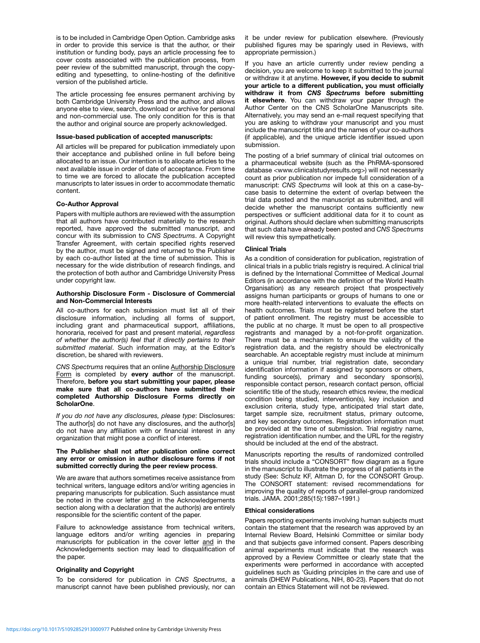is to be included in Cambridge Open Option. Cambridge asks in order to provide this service is that the author, or their institution or funding body, pays an article processing fee to cover costs associated with the publication process, from peer review of the submitted manuscript, through the copyediting and typesetting, to online-hosting of the definitive version of the published article.

The article processing fee ensures permanent archiving by both Cambridge University Press and the author, and allows anyone else to view, search, download or archive for personal and non-commercial use. The only condition for this is that the author and original source are properly acknowledged.

#### **Issue-based publication of accepted manuscripts:**

All articles will be prepared for publication immediately upon their acceptance and published online in full before being allocated to an issue. Our intention is to allocate articles to the next available issue in order of date of acceptance. From time to time we are forced to allocate the publication accepted manuscripts to later issues in order to accommodate thematic content.

#### **Co-Author Approval**

Papers with multiple authors are reviewed with the assumption that all authors have contributed materially to the research reported, have approved the submitted manuscript, and concur with its submission to *CNS Spectrums*. A Copyright Transfer Agreement, with certain specified rights reserved by the author, must be signed and returned to the Publisher by each co-author listed at the time of submission. This is necessary for the wide distribution of research findings, and the protection of both author and Cambridge University Press under copyright law.

#### **Authorship Disclosure Form - Disclosure of Commercial and Non-Commercial Interests**

All co-authors for each submission must list all of their disclosure information, including all forms of support, including grant and pharmaceutical support, affiliations, honoraria, received for past and present material, *regardless of whether the author(s) feel that it directly pertains to their submitted material*. Such information may, at the Editor's discretion, be shared with reviewers.

*CNS Spectrums* requires that an online Authorship Disclosure Form is completed by **every author** of the manuscript. Therefore, **before you start submitting your paper, please make sure that all co-authors have submitted their completed Authorship Disclosure Forms directly on ScholarOne**.

*If you do not have any disclosures, please type*: Disclosures: The author[s] do not have any disclosures, and the author[s] do not have any affiliation with or financial interest in any organization that might pose a conflict of interest.

#### **The Publisher shall not after publication online correct any error or omission in author disclosure forms if not submitted correctly during the peer review process**.

We are aware that authors sometimes receive assistance from technical writers, language editors and/or writing agencies in preparing manuscripts for publication. Such assistance must be noted in the cover letter and in the Acknowledgements section along with a declaration that the author(s) are entirely responsible for the scientific content of the paper.

Failure to acknowledge assistance from technical writers, language editors and/or writing agencies in preparing manuscripts for publication in the cover letter and in the Acknowledgements section may lead to disqualification of the paper.

#### **Originality and Copyright**

To be considered for publication in *CNS Spectrums*, a manuscript cannot have been published previously, nor can it be under review for publication elsewhere. (Previously published figures may be sparingly used in Reviews, with appropriate permission.)

If you have an article currently under review pending a decision, you are welcome to keep it submitted to the journal or withdraw it at anytime. **However, if you decide to submit**  your article to a different publication, you must officially **withdraw it from** *CNS Spectrums* **before submitting it elsewhere**. You can withdraw your paper through the Author Center on the CNS ScholarOne Manuscripts site. Alternatively, you may send an e-mail request specifying that you are asking to withdraw your manuscript and you must include the manuscript title and the names of your co-authors (if applicable), and the unique article identifier issued upon submission.

The posting of a brief summary of clinical trial outcomes on a pharmaceutical website (such as the PhRMA-sponsored database <www.clinicalstudyresults.org>) will not necessarily count as prior publication nor impede full consideration of a manuscript: *CNS Spectrums* will look at this on a case-bycase basis to determine the extent of overlap between the trial data posted and the manuscript as submitted, and will decide whether the manuscript contains sufficiently new perspectives or sufficient additional data for it to count as original. Authors should declare when submitting manuscripts that such data have already been posted and *CNS Spectrums* will review this sympathetically.

#### **Clinical Trials**

As a condition of consideration for publication, registration of clinical trials in a public trials registry is required. A clinical trial is defined by the International Committee of Medical Journal Editors (in accordance with the definition of the World Health Organisation) as any research project that prospectively assigns human participants or groups of humans to one or more health-related interventions to evaluate the effects on health outcomes. Trials must be registered before the start of patient enrollment. The registry must be accessible to the public at no charge. It must be open to all prospective registrants and managed by a not-for-profit organization. There must be a mechanism to ensure the validity of the registration data, and the registry should be electronically searchable. An acceptable registry must include at minimum a unique trial number, trial registration date, secondary identification information if assigned by sponsors or others, funding source(s), primary and secondary sponsor(s), responsible contact person, research contact person, official scientific title of the study, research ethics review, the medical condition being studied, intervention(s), key inclusion and exclusion criteria, study type, anticipated trial start date, target sample size, recruitment status, primary outcome, and key secondary outcomes. Registration information must be provided at the time of submission. Trial registry name, registration identification number, and the URL for the registry should be included at the end of the abstract.

Manuscripts reporting the results of randomized controlled trials should include a "CONSORT" flow diagram as a figure in the manuscript to illustrate the progress of all patients in the study (See: Schulz KF, Altman D, for the CONSORT Group. The CONSORT statement: revised recommendations for improving the quality of reports of parallel-group randomized trials. JAMA. 2001;285(15):1987–1991.)

#### **Ethical considerations**

Papers reporting experiments involving human subjects must contain the statement that the research was approved by an Internal Review Board, Helsinki Committee or similar body and that subjects gave informed consent. Papers describing animal experiments must indicate that the research was approved by a Review Committee or clearly state that the experiments were performed in accordance with accepted guidelines such as 'Guiding principles in the care and use of animals (DHEW Publications, NIH, 80-23). Papers that do not contain an Ethics Statement will not be reviewed.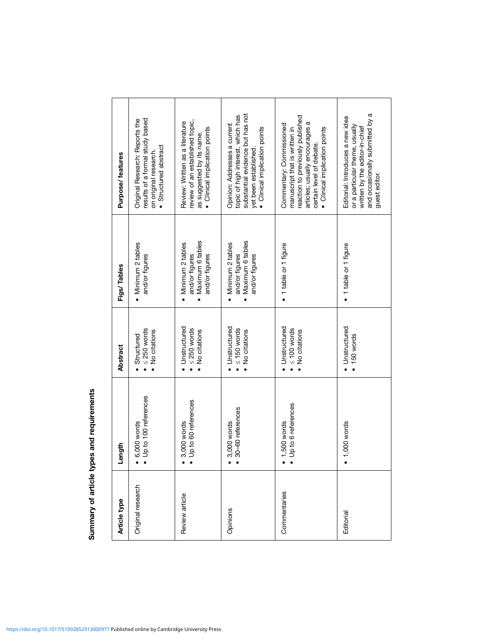| Article type      | Length                                             | <b>Abstract</b>                                      | Figs/Tables                                                                | Purpose/features                                                                                                                                                                           |
|-------------------|----------------------------------------------------|------------------------------------------------------|----------------------------------------------------------------------------|--------------------------------------------------------------------------------------------------------------------------------------------------------------------------------------------|
| Original research | • Up to 100 references<br>6,000 words<br>$\bullet$ | $\leq$ 250 words<br>No citations<br>Structured       | · Minimum 2 tables<br>and/or figures                                       | results of a formal study based<br>Original Research: Reports the<br>· Structured abstract<br>on original research.                                                                        |
| Review article    | • Up to 60 references<br>3,000 words<br>$\bullet$  | Unstructured<br>$\leq$ 250 words<br>No citations     | Maximum 6 tables<br>· Minimum 2 tables<br>and/or figures<br>and/or figures | review of an established topic,<br>Review: Written as a literature<br>· Clinical implication points<br>as suggested by its name.                                                           |
| Opinions          | 30-60 references<br>3,000 words                    | · Unstructured<br>$\leq 150$ words<br>· No citations | Maximum 6 tables<br>• Minimum 2 tables<br>and/or figures<br>and/or figures | substantial evidence but has not<br>topic of high interest, which has<br>Opinion: Addresses a current<br>· Clinical implication points<br>yet been established                             |
| Commentaries      | • Up to 6 references<br>1,500 words<br>$\bullet$   | Unstructured<br>$\leq 100$ words<br>No citations     | $\bullet$ 1 table or 1 figure                                              | reaction to previously published<br>articles; usually encourages a<br>Commentary: Commissioned<br>Clinical implication points<br>manuscript that is written in<br>certain level of debate. |
| Editorial         | $\bullet$ 1,000 words                              | Unstructured<br>150 words                            | · 1 table or 1 figure                                                      | and occasionally submitted by a<br>Editorial: Introduces a new idea<br>or a particular theme, usually<br>written by the editor-in-chief<br>guest editor.                                   |

# Summary of article types and requirements **Summary of article types and requirements**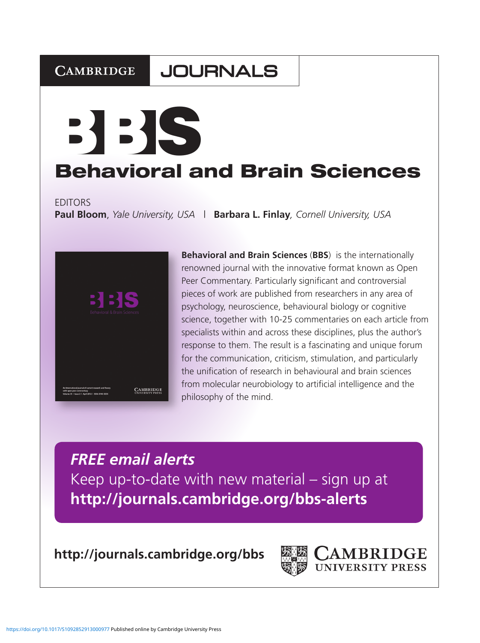### **Behavioral and Brain Sciences BSS**

EDITORS

**Paul Bloom**, *Yale University, USA |* **Barbara L. Finlay***, Cornell University, USA*



**Behavioral and Brain Sciences** (**BBS**) is the internationally renowned journal with the innovative format known as Open Peer Commentary. Particularly significant and controversial pieces of work are published from researchers in any area of psychology, neuroscience, behavioural biology or cognitive science, together with 10-25 commentaries on each article from specialists within and across these disciplines, plus the author's response to them. The result is a fascinating and unique forum for the communication, criticism, stimulation, and particularly f the unification of research in behavioural and brain sciences t from molecular neurobiology to artificial intelligence and the f philosophy of the mind.

*FREE email alerts* Keep up-to-date with new material – sign up at **http://journals.cambridge.org/bbs-alerts**

**http://journals.cambridge.org/bbs**

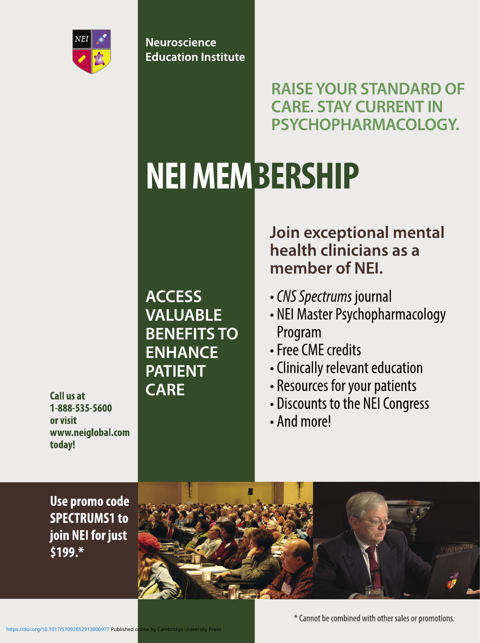

**Neuroscience Education Institute** 

> **RAISE YOUR STANDARD OF CARE, STAY CURRENT IN** PSYCHOPHARMACOLOGY.

## **NEI MEMBERSHIP**

**ACCESS VALUABLE BENEFITS TO ENHANCE PATIENT CARE** 

### **Join exceptional mental** health clinicians as a member of NEI.

- CNS Spectrums journal
- NEI Master Psychopharmacology Program
- Free CME credits
- Clinically relevant education
- Resources for your patients
- Discounts to the NEI Congress
- And morel

Call us at 1-888-535-5600 or visit www.neiglobal.com today!

Use promo code **SPECTRUMS1 to** join NEI for just \$199.\*